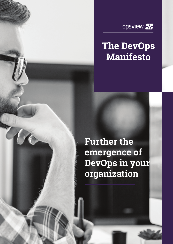

### **The DevOps Manifesto**

**Further the emergence of DevOps in your organization**

 $\overline{A}$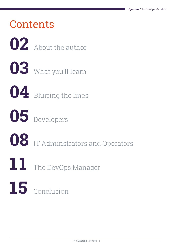# **Contents**  About the author What you'll learn Blurring the lines Developers IT Adminstrators and Operators The DevOps Manager Conclusion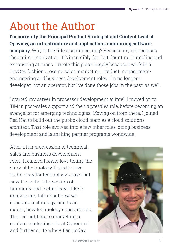# About the Author

**I'm currently the Principal Product Strategist and Content Lead at Opsview, an infrastructure and applications monitoring software company.** Why is the title a sentence long? Because my role crosses the entire organization. It's incredibly fun, but daunting, humbling and exhausting at times. I wrote this piece largely because I work in a DevOps fashion crossing sales, marketing, product management/ engineering and business development roles. I'm no longer a developer, nor an operator, but I've done those jobs in the past, as well.

I started my career in processor development at Intel. I moved on to IBM in post-sales support and then a presales role, before becoming an evangelist for emerging technologies. Moving on from there, I joined Red Hat to build out the public cloud team as a cloud solutions architect. That role evolved into a few other roles, doing business development and launching partner programs worldwide.

After a fun progression of technical, sales and business development roles, I realized I really love telling the story of technology. I used to love technology for technology's sake, but now I love the intersection of humanity and technology. I like to analyze and talk about how we consume technology, and to an extent, how technology consumes us. That brought me to marketing, a content marketing role at Canonical, and further on to where I am today.

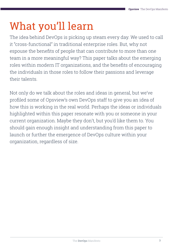# What you'll learn

The idea behind DevOps is picking up steam every day. We used to call it "cross-functional" in traditional enterprise roles. But, why not espouse the benefits of people that can contribute to more than one team in a more meaningful way? This paper talks about the emerging roles within modern IT organizations, and the benefits of encouraging the individuals in those roles to follow their passions and leverage their talents.

Not only do we talk about the roles and ideas in general, but we've profiled some of Opsview's own DevOps staff to give you an idea of how this is working in the real world. Perhaps the ideas or individuals highlighted within this paper resonate with you or someone in your current organization. Maybe they don't, but you'd like them to. You should gain enough insight and understanding from this paper to launch or further the emergence of DevOps culture within your organization, regardless of size.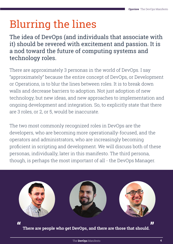# Blurring the lines

The idea of DevOps (and individuals that associate with it) should be revered with excitement and passion. It is a nod toward the future of computing systems and technology roles.

There are approximately 3 personas in the world of DevOps. I say "approximately" because the entire concept of DevOps, or Development or Operations, is to blur the lines between roles. It is to break down walls and decrease barriers to adoption. Not just adoption of new technology, but new ideas, and new approaches to implementation and ongoing development and integration. So, to explicitly state that there are 3 roles, or 2, or 5, would be inaccurate.

The two most commonly recognized roles in DevOps are the developers, who are becoming more operationally-focused, and the operators and administrators, who are increasingly becoming proficient in scripting and development. We will discuss both of these personas, individually, later in this manifesto. The third persona, though, is perhaps the most important of all - the DevOps Manager.



**There are people who get DevOps, and there are those that should.**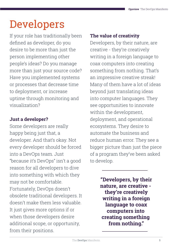## Developers

If your role has traditionally been defined as developer, do you desire to be more than just the person implementing other people's ideas? Do you manage more than just your source code? Have you implemented systems or processes that decrease time to deployment, or increase uptime through monitoring and visualization?

### **Just a developer?**

Some developers are really happy being just that, a developer. And that's okay. Not every developer should be forced into a DevOps team. Just "because it's DevOps" isn't a good reason for all developers to dive into something with which they may not be comfortable. Fortunately, DevOps doesn't obsolete traditional developers. It doesn't make them less valuable. It just gives more options if or when those developers desire additional scope, or opportunity, from their positions.

### **The value of creativity**

Developers, by their nature, are creative - they're creatively writing in a foreign language to coax computers into creating something from nothing. That's an impressive creative streak! Many of them have a lot of ideas beyond just translating ideas into computer languages. They see opportunities to innovate within the development, deployment, and operational ecosystems. They desire to automate the business and reduce human error. They see a bigger picture than just the piece of a program they've been asked to develop.

> **"Developers, by their nature, are creative they're creatively writing in a foreign language to coax computers into creating something from nothing."**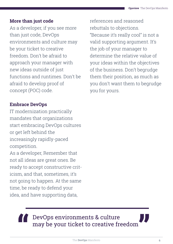#### **More than just code**

As a developer, if you see more than just code, DevOps environments and culture may be your ticket to creative freedom. Don't be afraid to approach your manager with new ideas outside of just functions and runtimes. Don't be afraid to develop proof of concept (POC) code.

### **Embrace DevOps**

IT modernization practically mandates that organizations start embracing DevOps cultures or get left behind the increasingly rapidly-paced competition.

As a developer, Remember that not all ideas are great ones. Be ready to accept constructive criticism, and that, sometimes, it's not going to happen. At the same time, be ready to defend your idea, and have supporting data,

references and reasoned rebuttals to objections. "Because it's really cool" is not a valid supporting argument. It's the job of your manager to determine the relative value of your ideas within the objectives of the business. Don't begrudge them their position, as much as you don't want them to begrudge you for yours.

### DevOps environments & culture may be your ticket to creative freedom **" . "**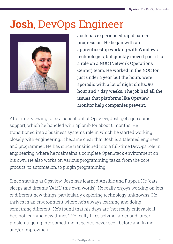### **Josh**, DevOps Engineer



Josh has experienced rapid career progression. He began with an apprenticeship working with Windows technologies, but quickly moved past it to a role on a NOC (Network Operations Center) team. He worked in the NOC for just under a year, but the hours were sporadic with a lot of night shifts, 90 hour and 7 day weeks. The job had all the issues that platforms like Opsview Monitor help companies prevent.

After interviewing to be a consultant at Opsview, Josh got a job doing support, which he handled with aplomb for about 6 months. He transitioned into a business systems role in which he started working closely with engineering. It became clear that Josh is a talented engineer and programmer. He has since transitioned into a full-time DevOps role in engineering, where he maintains a complete OpenStack environment on his own. He also works on various programming tasks, from the core product, to automation, to plugin programming.

Since starting at Opsview, Josh has learned Ansible and Puppet. He "eats, sleeps and dreams YAML" (his own words). He really enjoys working on lots of different new things, particularly exploring technology unknowns. He thrives in an environment where he's always learning and doing something different. He's found that his days are "not really enjoyable if he's not learning new things." He really likes solving larger and larger problems, going into something huge he's never seen before and fixing and/or improving it.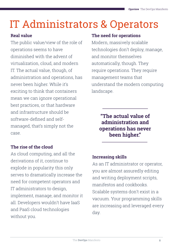# IT Administrators & Operators

### **Real value**

The public value/view of the role of operations seems to have diminished with the advent of virtualization, cloud, and modern IT. The actual value, though, of administration and operations, has never been higher. While it's exciting to think that containers mean we can ignore operational best practices, or that hardware and infrastructure should be software-defined and selfmanaged, that's simply not the case.

### **The rise of the cloud**

As cloud computing, and all the derivations of it, continue to explode in popularity this only serves to dramatically increase the need for competent operators and IT administrators to design, implement, manage, and monitor it all. Developers wouldn't have IaaS and PaaS cloud technologies without you.

### **The need for operations**

Modern, massively scalable technologies don't deploy, manage, and monitor themselves automatically, though. They require operations. They require management teams that understand the modern computing landscape.

> **"The actual value of administration and operations has never been higher."**

### **Increasing skills**

As an IT administrator or operator, you are almost assuredly editing and writing deployment scripts, manifestos and cookbooks. Scalable systems don't exist in a vacuum. Your programming skills are increasing and leveraged every day.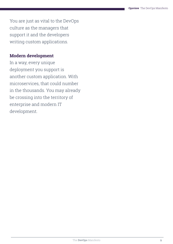You are just as vital to the DevOps culture as the managers that support it and the developers writing custom applications.

#### **Modern development**

In a way, every unique deployment you support is another custom application. With microservices, that could number in the thousands. You may already be crossing into the territory of enterprise and modern IT development.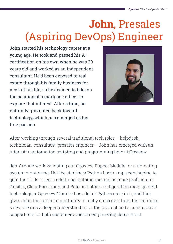# **John**, Presales (Aspiring DevOps) Engineer

John started his technology career at a young age. He took and passed his A+ certification on his own when he was 20 years old and worked as an independent consultant. He'd been exposed to real estate through his family business for most of his life, so he decided to take on the position of a mortgage officer to explore that interest. After a time, he naturally gravitated back toward technology, which has emerged as his true passion.



After working through several traditional tech roles – helpdesk, technician, consultant, presales engineer – John has emerged with an interest in automation scripting and programming here at Opsview.

John's done work validating our Opsview Puppet Module for automating system monitoring. He'll be starting a Python boot camp soon, hoping to gain the skills to learn additional automation and be more proficient in Ansible, CloudFormation and Boto and other configuration management technologies. Opsview Monitor has a lot of Python code in it, and that gives John the perfect opportunity to really cross over from his technical sales role into a deeper understanding of the product and a consultative support role for both customers and our engineering department.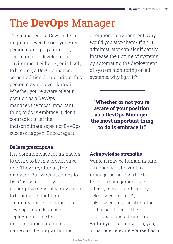# The **DevOps** Manager

The manager of a DevOps team might not even be one yet. Any person managing a modern, operational or development environment either is, or is likely to become, a DevOps manager. In some traditional enterprises, this person may not even know it. Whether you're aware of your position as a DevOps manager, the most important thing to do is embrace it, don't contradict it; let the indiscriminate aspect of DevOps success happen. Encourage it.

### **Be less prescriptive**

It is commonplace for managers to desire to be in a prescriptive role. They are, after all, the manager. But, when it comes to DevOps, being overly prescriptive generally only leads to boundaries that limit creativity and innovation. If a developer can decrease deployment time by implementing automated regression testing within the

operational environment, why would you stop them? If an IT administrator can significantly increase the uptime of systems by automating the deployment of system monitoring on all systems, why fight it?

**"Whether or not you're aware of your position as a DevOps Manager, the most important thing to do is embrace it."**

### **Acknowledge strengths**

While it may be human nature, as a manager, to want to manage, sometimes the best form of management is to advise, mentor, and lead by acknowledgment. By acknowledging the strengths and capabilities of the developers and administrators within your organization, you, as a manager, elevate yourself as a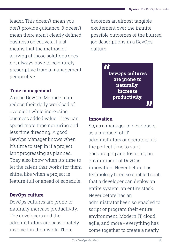leader. This doesn't mean you don't provide guidance. It doesn't mean there aren't clearly defined business objectives. It just means that the method of arriving at those solutions does not always have to be entirely prescriptive from a management perspective.

### **Time management**

A good DevOps Manager can reduce their daily workload of oversight while increasing business added value. They can spend more time nurturing and less time directing. A good DevOps Manager knows when it's time to step in if a project isn't progressing as planned. They also know when it's time to let the talent that works for them shine, like when a project is feature-full or ahead of schedule.

### **DevOps culture**

DevOps cultures are prone to naturally increase productivity. The developers and the administrators are passionately involved in their work. There

becomes an almost tangible excitement over the infinite possible outcomes of the blurred job descriptions in a DevOps culture.



### **Innovation**

So, as a manager of developers, as a manager of IT administrators or operators, it's the perfect time to start encouraging and fostering an environment of DevOps innovation. Never before has technology been so enabled such that a developer can deploy an entire system, an entire stack. Never before has an administrator been so enabled to script or program their entire environment. Modern IT, cloud, agile, and more - everything has come together to create a nearly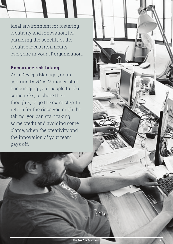ideal environment for fostering creativity and innovation; for garnering the benefits of the creative ideas from nearly everyone in your IT organization.

#### **Encourage risk taking**

As a DevOps Manager, or an aspiring DevOps Manager, start encouraging your people to take some risks, to share their thoughts, to go the extra step. In return for the risks you might be taking, you can start taking some credit and avoiding some blame, when the creativity and the innovation of your team pays off.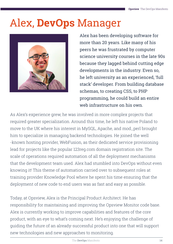### Alex, **DevOps** Manager



Alex has been developing software for more than 20 years. Like many of his peers he was frustrated by computer science university courses in the late 90s because they lagged behind cutting edge developments in the industry. Even so, he left university as an experienced, 'full stack' developer. From building database schemas, to creating CSS, to PHP programming, he could build an entire web infrastructure on his own.

As Alex's experience grew, he was involved in more complex projects that required greater specialization. Around this time, he left his native Poland to move to the UK where his interest in MySQL, Apache, and mod\_perl brought him to specialize in managing backend technologies. He joined the well -known hosting provider, WebFusion, as their dedicated service provisioning lead for projects like the popular 123reg.com domain registration site. The scale of operations required automation of all the deployment mechanisms that the development team used. Alex had stumbled into DevOps without even knowing it! This theme of automation carried over to subsequent roles at training provider Knowledge Pool where he spent his time ensuring that the deployment of new code to end users was as fast and easy as possible.

Today, at Opsview, Alex is the Principal Product Architect. He has responsibility for maintaining and improving the Opsview Monitor code base. Alex is currently working to improve capabilities and features of the core product, with an eye to what's coming next. He's enjoying the challenge of guiding the future of an already-successful product into one that will support new technologies and new approaches to monitoring.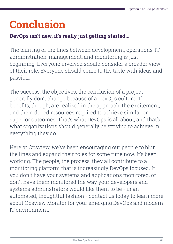# **Conclusion**

### **DevOps isn't new, it's really just getting started...**

The blurring of the lines between development, operations, IT administration, management, and monitoring is just beginning. Everyone involved should consider a broader view of their role. Everyone should come to the table with ideas and passion.

The success, the objectives, the conclusion of a project generally don't change because of a DevOps culture. The benefits, though, are realized in the approach, the excitement, and the reduced resources required to achieve similar or superior outcomes. That's what DevOps is all about, and that's what organizations should generally be striving to achieve in everything they do.

Here at Opsview, we've been encouraging our people to blur the lines and expand their roles for some time now. It's been working. The people, the process, they all contribute to a monitoring platform that is increasingly DevOps focused. If you don't have your systems and applications monitored, or don't have them monitored the way your developers and systems administrators would like them to be - in an automated, thoughtful fashion - contact us today to learn more about Opsview Monitor for your emerging DevOps and modern IT environment.